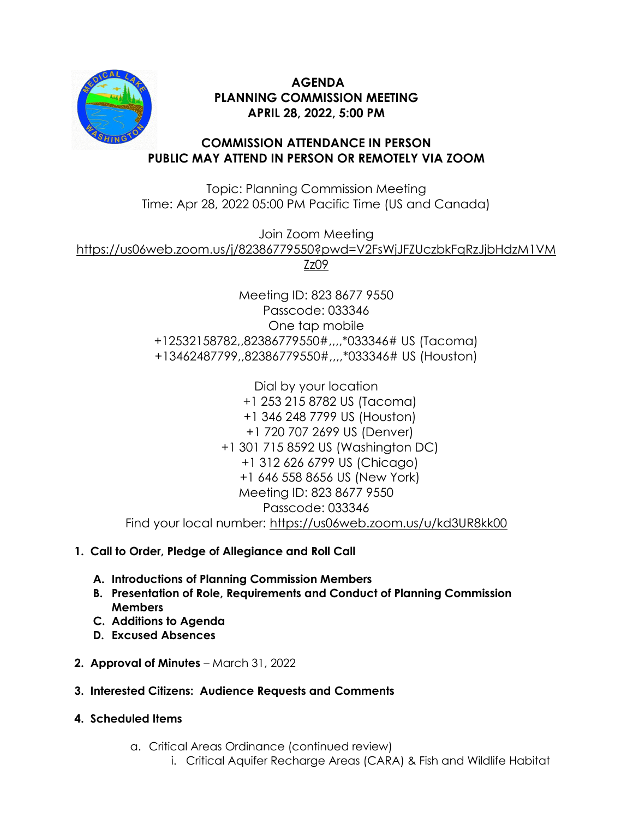

# **AGENDA PLANNING COMMISSION MEETING APRIL 28, 2022, 5:00 PM**

### **COMMISSION ATTENDANCE IN PERSON PUBLIC MAY ATTEND IN PERSON OR REMOTELY VIA ZOOM**

Topic: Planning Commission Meeting Time: Apr 28, 2022 05:00 PM Pacific Time (US and Canada)

Join Zoom Meeting

[https://us06web.zoom.us/j/82386779550?pwd=V2FsWjJFZUczbkFqRzJjbHdzM1VM](https://us06web.zoom.us/j/82386779550?pwd=V2FsWjJFZUczbkFqRzJjbHdzM1VMZz09)

[Zz09](https://us06web.zoom.us/j/82386779550?pwd=V2FsWjJFZUczbkFqRzJjbHdzM1VMZz09)

Meeting ID: 823 8677 9550 Passcode: 033346 One tap mobile +12532158782,,82386779550#,,,,\*033346# US (Tacoma) +13462487799,,82386779550#,,,,\*033346# US (Houston)

Dial by your location +1 253 215 8782 US (Tacoma) +1 346 248 7799 US (Houston) +1 720 707 2699 US (Denver) +1 301 715 8592 US (Washington DC) +1 312 626 6799 US (Chicago) +1 646 558 8656 US (New York) Meeting ID: 823 8677 9550 Passcode: 033346 Find your local number:<https://us06web.zoom.us/u/kd3UR8kk00>

### **1. Call to Order, Pledge of Allegiance and Roll Call**

- **A. Introductions of Planning Commission Members**
- **B. Presentation of Role, Requirements and Conduct of Planning Commission Members**
- **C. Additions to Agenda**
- **D. Excused Absences**
- **2. Approval of Minutes** March 31, 2022
- **3. Interested Citizens: Audience Requests and Comments**
- **4. Scheduled Items**
	- a. Critical Areas Ordinance (continued review)
		- i. Critical Aquifer Recharge Areas (CARA) & Fish and Wildlife Habitat